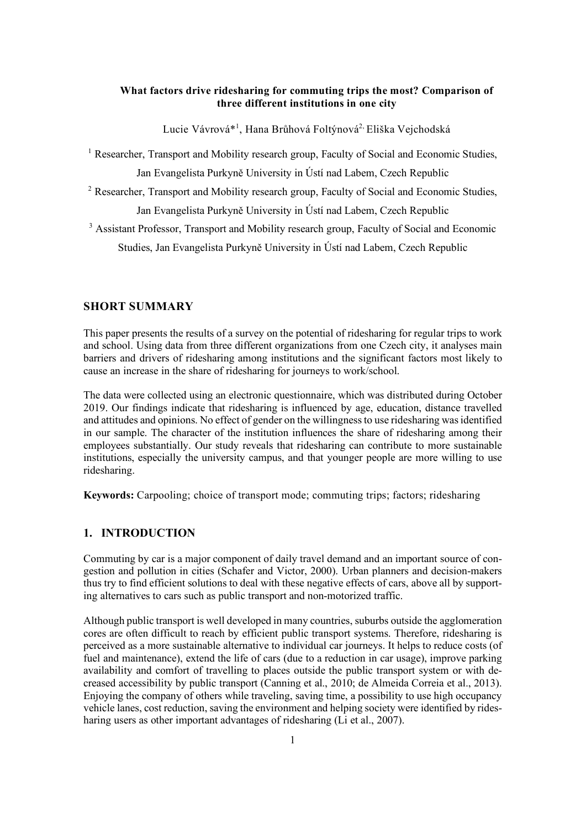#### **What factors drive ridesharing for commuting trips the most? Comparison of three different institutions in one city**

Lucie Vávrová\*<sup>1</sup>, Hana Brůhová Foltýnová<sup>2,</sup> Eliška Vejchodská

<sup>1</sup> Researcher, Transport and Mobility research group, Faculty of Social and Economic Studies, Jan Evangelista Purkyně University in Ústí nad Labem, Czech Republic

<sup>2</sup> Researcher, Transport and Mobility research group, Faculty of Social and Economic Studies, Jan Evangelista Purkyně University in Ústí nad Labem, Czech Republic

<sup>3</sup> Assistant Professor, Transport and Mobility research group, Faculty of Social and Economic Studies, Jan Evangelista Purkyně University in Ústí nad Labem, Czech Republic

#### **SHORT SUMMARY**

This paper presents the results of a survey on the potential of ridesharing for regular trips to work and school. Using data from three different organizations from one Czech city, it analyses main barriers and drivers of ridesharing among institutions and the significant factors most likely to cause an increase in the share of ridesharing for journeys to work/school.

The data were collected using an electronic questionnaire, which was distributed during October 2019. Our findings indicate that ridesharing is influenced by age, education, distance travelled and attitudes and opinions. No effect of gender on the willingness to use ridesharing was identified in our sample. The character of the institution influences the share of ridesharing among their employees substantially. Our study reveals that ridesharing can contribute to more sustainable institutions, especially the university campus, and that younger people are more willing to use ridesharing.

**Keywords:** Carpooling; choice of transport mode; commuting trips; factors; ridesharing

## **1. INTRODUCTION**

Commuting by car is a major component of daily travel demand and an important source of congestion and pollution in cities (Schafer and Victor, 2000). Urban planners and decision-makers thus try to find efficient solutions to deal with these negative effects of cars, above all by supporting alternatives to cars such as public transport and non-motorized traffic.

Although public transport is well developed in many countries, suburbs outside the agglomeration cores are often difficult to reach by efficient public transport systems. Therefore, ridesharing is perceived as a more sustainable alternative to individual car journeys. It helps to reduce costs (of fuel and maintenance), extend the life of cars (due to a reduction in car usage), improve parking availability and comfort of travelling to places outside the public transport system or with decreased accessibility by public transport (Canning et al., 2010; de Almeida Correia et al., 2013). Enjoying the company of others while traveling, saving time, a possibility to use high occupancy vehicle lanes, cost reduction, saving the environment and helping society were identified by ridesharing users as other important advantages of ridesharing (Li et al., 2007).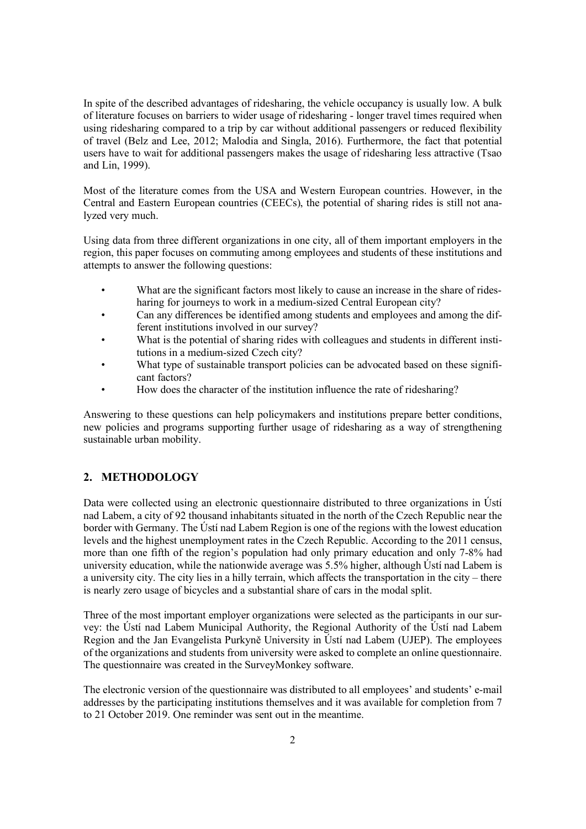In spite of the described advantages of ridesharing, the vehicle occupancy is usually low. A bulk of literature focuses on barriers to wider usage of ridesharing - longer travel times required when using ridesharing compared to a trip by car without additional passengers or reduced flexibility of travel (Belz and Lee, 2012; Malodia and Singla, 2016). Furthermore, the fact that potential users have to wait for additional passengers makes the usage of ridesharing less attractive (Tsao and Lin, 1999).

Most of the literature comes from the USA and Western European countries. However, in the Central and Eastern European countries (CEECs), the potential of sharing rides is still not analyzed very much.

Using data from three different organizations in one city, all of them important employers in the region, this paper focuses on commuting among employees and students of these institutions and attempts to answer the following questions:

- What are the significant factors most likely to cause an increase in the share of ridesharing for journeys to work in a medium-sized Central European city?
- Can any differences be identified among students and employees and among the different institutions involved in our survey?
- What is the potential of sharing rides with colleagues and students in different institutions in a medium-sized Czech city?
- What type of sustainable transport policies can be advocated based on these significant factors?
- How does the character of the institution influence the rate of ridesharing?

Answering to these questions can help policymakers and institutions prepare better conditions, new policies and programs supporting further usage of ridesharing as a way of strengthening sustainable urban mobility.

## **2. METHODOLOGY**

Data were collected using an electronic questionnaire distributed to three organizations in Ústí nad Labem, a city of 92 thousand inhabitants situated in the north of the Czech Republic near the border with Germany. The Ústí nad Labem Region is one of the regions with the lowest education levels and the highest unemployment rates in the Czech Republic. According to the 2011 census, more than one fifth of the region's population had only primary education and only 7-8% had university education, while the nationwide average was 5.5% higher, although Ústí nad Labem is a university city. The city lies in a hilly terrain, which affects the transportation in the city – there is nearly zero usage of bicycles and a substantial share of cars in the modal split.

Three of the most important employer organizations were selected as the participants in our survey: the Ústí nad Labem Municipal Authority, the Regional Authority of the Ústí nad Labem Region and the Jan Evangelista Purkyně University in Ústí nad Labem (UJEP). The employees of the organizations and students from university were asked to complete an online questionnaire. The questionnaire was created in the SurveyMonkey software.

The electronic version of the questionnaire was distributed to all employees' and students' e-mail addresses by the participating institutions themselves and it was available for completion from 7 to 21 October 2019. One reminder was sent out in the meantime.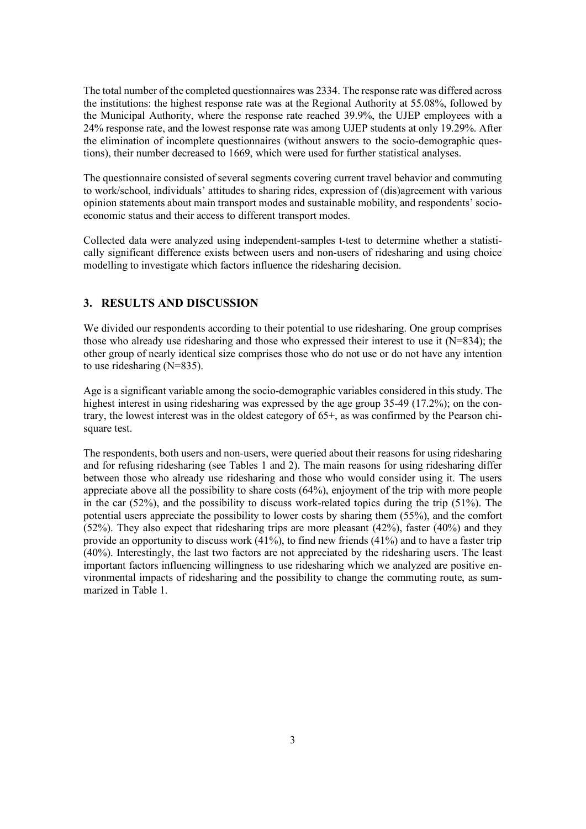The total number of the completed questionnaires was 2334. The response rate was differed across the institutions: the highest response rate was at the Regional Authority at 55.08%, followed by the Municipal Authority, where the response rate reached 39.9%, the UJEP employees with a 24% response rate, and the lowest response rate was among UJEP students at only 19.29%. After the elimination of incomplete questionnaires (without answers to the socio-demographic questions), their number decreased to 1669, which were used for further statistical analyses.

The questionnaire consisted of several segments covering current travel behavior and commuting to work/school, individuals' attitudes to sharing rides, expression of (dis)agreement with various opinion statements about main transport modes and sustainable mobility, and respondents' socioeconomic status and their access to different transport modes.

Collected data were analyzed using independent-samples t-test to determine whether a statistically significant difference exists between users and non-users of ridesharing and using choice modelling to investigate which factors influence the ridesharing decision.

## **3. RESULTS AND DISCUSSION**

We divided our respondents according to their potential to use ridesharing. One group comprises those who already use ridesharing and those who expressed their interest to use it (N=834); the other group of nearly identical size comprises those who do not use or do not have any intention to use ridesharing (N=835).

Age is a significant variable among the socio-demographic variables considered in this study. The highest interest in using ridesharing was expressed by the age group 35-49 (17.2%); on the contrary, the lowest interest was in the oldest category of 65+, as was confirmed by the Pearson chisquare test.

The respondents, both users and non-users, were queried about their reasons for using ridesharing and for refusing ridesharing (see Tables 1 and 2). The main reasons for using ridesharing differ between those who already use ridesharing and those who would consider using it. The users appreciate above all the possibility to share costs (64%), enjoyment of the trip with more people in the car  $(52\%)$ , and the possibility to discuss work-related topics during the trip  $(51\%)$ . The potential users appreciate the possibility to lower costs by sharing them (55%), and the comfort (52%). They also expect that ridesharing trips are more pleasant (42%), faster (40%) and they provide an opportunity to discuss work (41%), to find new friends (41%) and to have a faster trip (40%). Interestingly, the last two factors are not appreciated by the ridesharing users. The least important factors influencing willingness to use ridesharing which we analyzed are positive environmental impacts of ridesharing and the possibility to change the commuting route, as summarized in Table 1.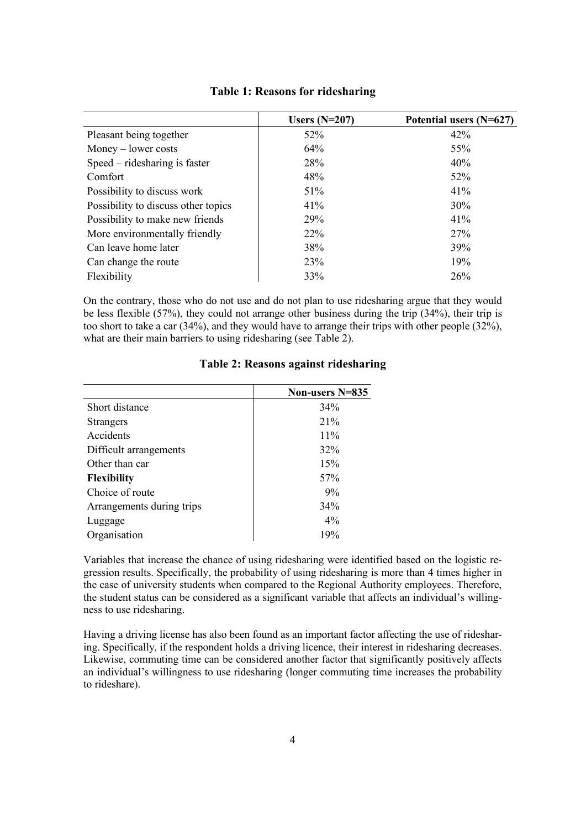|                                     | Users $(N=207)$ | Potential users $(N=627)$ |
|-------------------------------------|-----------------|---------------------------|
| Pleasant being together             | 52%             | 42%                       |
| $Money - lower costs$               | 64%             | 55%                       |
| Speed – ridesharing is faster       | 28%             | 40%                       |
| Comfort                             | 48%             | 52%                       |
| Possibility to discuss work         | 51%             | 41%                       |
| Possibility to discuss other topics | 41%             | 30%                       |
| Possibility to make new friends     | 29%             | 41%                       |
| More environmentally friendly       | $22\%$          | 27%                       |
| Can leave home later                | 38%             | 39%                       |
| Can change the route                | 23%             | 19%                       |
| Flexibility                         | 33%             | 26%                       |

#### **Table 1: Reasons for ridesharing**

On the contrary, those who do not use and do not plan to use ridesharing argue that they would be less flexible (57%), they could not arrange other business during the trip (34%), their trip is too short to take a car (34%), and they would have to arrange their trips with other people (32%), what are their main barriers to using ridesharing (see Table 2).

|                           | Non-users N=835 |
|---------------------------|-----------------|
| Short distance            | 34%             |
| <b>Strangers</b>          | 21%             |
| Accidents                 | 11%             |
| Difficult arrangements    | 32%             |
| Other than car            | 15%             |
| <b>Flexibility</b>        | 57%             |
| Choice of route           | 9%              |
| Arrangements during trips | 34%             |
| Luggage                   | $4\%$           |
| Organisation              | 19%             |

# **Table 2: Reasons against ridesharing**

Variables that increase the chance of using ridesharing were identified based on the logistic regression results. Specifically, the probability of using ridesharing is more than 4 times higher in the case of university students when compared to the Regional Authority employees. Therefore, the student status can be considered as a significant variable that affects an individual's willingness to use ridesharing.

Having a driving license has also been found as an important factor affecting the use of ridesharing. Specifically, if the respondent holds a driving licence, their interest in ridesharing decreases. Likewise, commuting time can be considered another factor that significantly positively affects an individual's willingness to use ridesharing (longer commuting time increases the probability to rideshare).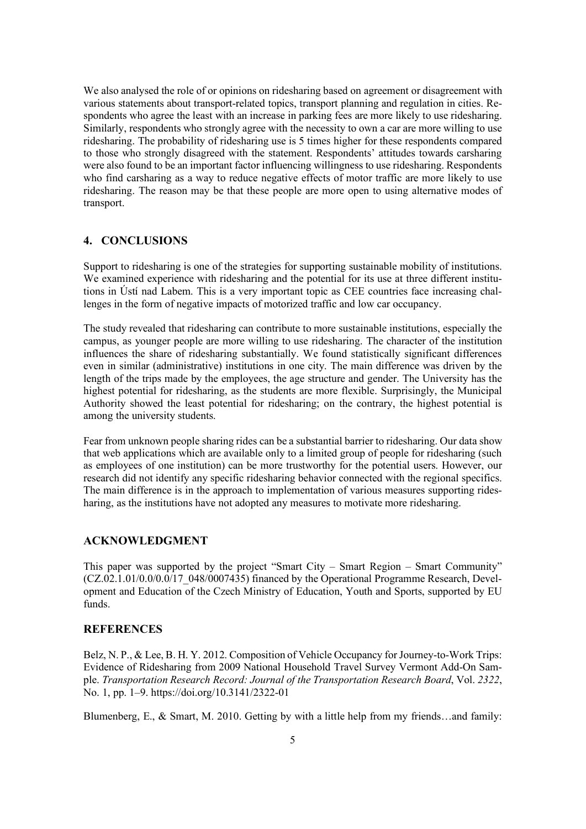We also analysed the role of or opinions on ridesharing based on agreement or disagreement with various statements about transport-related topics, transport planning and regulation in cities. Respondents who agree the least with an increase in parking fees are more likely to use ridesharing. Similarly, respondents who strongly agree with the necessity to own a car are more willing to use ridesharing. The probability of ridesharing use is 5 times higher for these respondents compared to those who strongly disagreed with the statement. Respondents' attitudes towards carsharing were also found to be an important factor influencing willingness to use ridesharing. Respondents who find carsharing as a way to reduce negative effects of motor traffic are more likely to use ridesharing. The reason may be that these people are more open to using alternative modes of transport.

#### **4. CONCLUSIONS**

Support to ridesharing is one of the strategies for supporting sustainable mobility of institutions. We examined experience with ridesharing and the potential for its use at three different institutions in Ústí nad Labem. This is a very important topic as CEE countries face increasing challenges in the form of negative impacts of motorized traffic and low car occupancy.

The study revealed that ridesharing can contribute to more sustainable institutions, especially the campus, as younger people are more willing to use ridesharing. The character of the institution influences the share of ridesharing substantially. We found statistically significant differences even in similar (administrative) institutions in one city. The main difference was driven by the length of the trips made by the employees, the age structure and gender. The University has the highest potential for ridesharing, as the students are more flexible. Surprisingly, the Municipal Authority showed the least potential for ridesharing; on the contrary, the highest potential is among the university students.

Fear from unknown people sharing rides can be a substantial barrier to ridesharing. Our data show that web applications which are available only to a limited group of people for ridesharing (such as employees of one institution) can be more trustworthy for the potential users. However, our research did not identify any specific ridesharing behavior connected with the regional specifics. The main difference is in the approach to implementation of various measures supporting ridesharing, as the institutions have not adopted any measures to motivate more ridesharing.

#### **ACKNOWLEDGMENT**

This paper was supported by the project "Smart City – Smart Region – Smart Community"  $(CZ.02.1.01/0.0/0.0/17$   $0.048/0.007435)$  financed by the Operational Programme Research, Development and Education of the Czech Ministry of Education, Youth and Sports, supported by EU funds.

#### **REFERENCES**

Belz, N. P., & Lee, B. H. Y. 2012. Composition of Vehicle Occupancy for Journey-to-Work Trips: Evidence of Ridesharing from 2009 National Household Travel Survey Vermont Add-On Sample. *Transportation Research Record: Journal of the Transportation Research Board*, Vol. *2322*, No. 1, pp. 1–9. https://doi.org/10.3141/2322-01

Blumenberg, E., & Smart, M. 2010. Getting by with a little help from my friends…and family: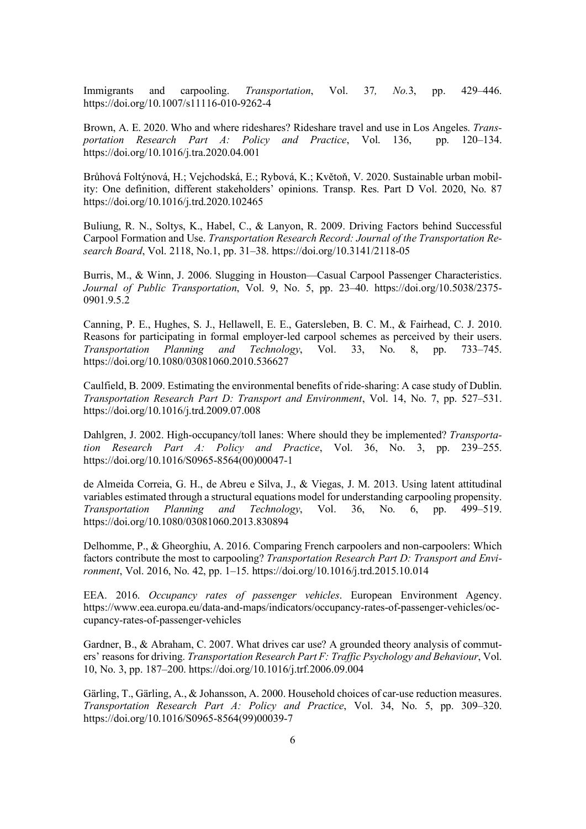Immigrants and carpooling. *Transportation*, Vol. 37*, No.*3, pp. 429–446. https://doi.org/10.1007/s11116-010-9262-4

Brown, A. E. 2020. Who and where rideshares? Rideshare travel and use in Los Angeles. *Transportation Research Part A: Policy and Practice*, Vol. 136, pp. 120–134. https://doi.org/10.1016/j.tra.2020.04.001

Brůhová Foltýnová, H.; Vejchodská, E.; Rybová, K.; Květoň, V. 2020. Sustainable urban mobility: One definition, different stakeholders' opinions. Transp. Res. Part D Vol. 2020, No. 87 https://doi.org/10.1016/j.trd.2020.102465

Buliung, R. N., Soltys, K., Habel, C., & Lanyon, R. 2009. Driving Factors behind Successful Carpool Formation and Use. *Transportation Research Record: Journal of the Transportation Research Board*, Vol. 2118, No.1, pp. 31–38. https://doi.org/10.3141/2118-05

Burris, M., & Winn, J. 2006. Slugging in Houston—Casual Carpool Passenger Characteristics. *Journal of Public Transportation*, Vol. 9, No. 5, pp. 23–40. https://doi.org/10.5038/2375- 0901.9.5.2

Canning, P. E., Hughes, S. J., Hellawell, E. E., Gatersleben, B. C. M., & Fairhead, C. J. 2010. Reasons for participating in formal employer-led carpool schemes as perceived by their users. *Transportation Planning and Technology*, Vol. 33, No. 8, pp. 733–745. https://doi.org/10.1080/03081060.2010.536627

Caulfield, B. 2009. Estimating the environmental benefits of ride-sharing: A case study of Dublin. *Transportation Research Part D: Transport and Environment*, Vol. 14, No. 7, pp. 527–531. https://doi.org/10.1016/j.trd.2009.07.008

Dahlgren, J. 2002. High-occupancy/toll lanes: Where should they be implemented? *Transportation Research Part A: Policy and Practice*, Vol. 36, No. 3, pp. 239–255. https://doi.org/10.1016/S0965-8564(00)00047-1

de Almeida Correia, G. H., de Abreu e Silva, J., & Viegas, J. M. 2013. Using latent attitudinal variables estimated through a structural equations model for understanding carpooling propensity. *Transportation Planning and Technology*, Vol. 36, No. 6, pp. 499–519. https://doi.org/10.1080/03081060.2013.830894

Delhomme, P., & Gheorghiu, A. 2016. Comparing French carpoolers and non-carpoolers: Which factors contribute the most to carpooling? *Transportation Research Part D: Transport and Environment*, Vol. 2016, No. 42, pp. 1–15. https://doi.org/10.1016/j.trd.2015.10.014

EEA. 2016. *Occupancy rates of passenger vehicles*. European Environment Agency. https://www.eea.europa.eu/data-and-maps/indicators/occupancy-rates-of-passenger-vehicles/occupancy-rates-of-passenger-vehicles

Gardner, B., & Abraham, C. 2007. What drives car use? A grounded theory analysis of commuters' reasons for driving. *Transportation Research Part F: Traffic Psychology and Behaviour*, Vol. 10, No. 3, pp. 187–200. https://doi.org/10.1016/j.trf.2006.09.004

Gärling, T., Gärling, A., & Johansson, A. 2000. Household choices of car-use reduction measures. *Transportation Research Part A: Policy and Practice*, Vol. 34, No. 5, pp. 309–320. https://doi.org/10.1016/S0965-8564(99)00039-7